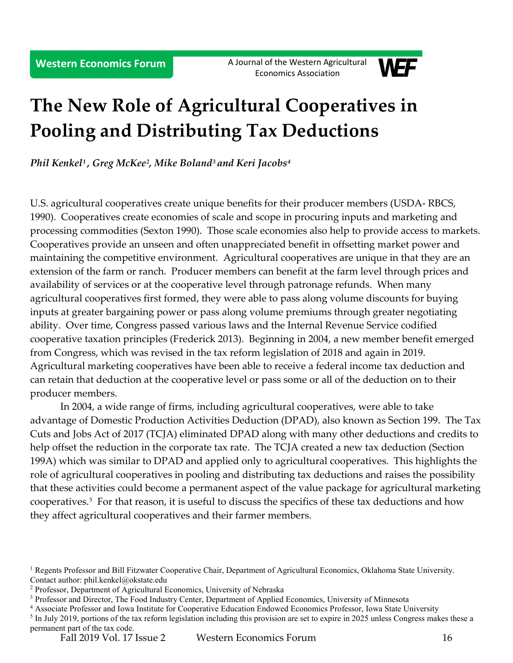

# **The New Role of Agricultural Cooperatives in Pooling and Distributing Tax Deductions**

*Phil Kenkel[1](#page-0-0) , Greg McKee[2](#page-0-1), Mike Boland[3](#page-0-2) and Keri Jacobs[4](#page-0-3)*

U.S. agricultural cooperatives create unique benefits for their producer members (USDA- RBCS, 1990). Cooperatives create economies of scale and scope in procuring inputs and marketing and processing commodities (Sexton 1990). Those scale economies also help to provide access to markets. Cooperatives provide an unseen and often unappreciated benefit in offsetting market power and maintaining the competitive environment. Agricultural cooperatives are unique in that they are an extension of the farm or ranch. Producer members can benefit at the farm level through prices and availability of services or at the cooperative level through patronage refunds. When many agricultural cooperatives first formed, they were able to pass along volume discounts for buying inputs at greater bargaining power or pass along volume premiums through greater negotiating ability. Over time, Congress passed various laws and the Internal Revenue Service codified cooperative taxation principles (Frederick 2013). Beginning in 2004, a new member benefit emerged from Congress, which was revised in the tax reform legislation of 2018 and again in 2019. Agricultural marketing cooperatives have been able to receive a federal income tax deduction and can retain that deduction at the cooperative level or pass some or all of the deduction on to their producer members.

In 2004, a wide range of firms, including agricultural cooperatives, were able to take advantage of Domestic Production Activities Deduction (DPAD), also known as Section 199. The Tax Cuts and Jobs Act of 2017 (TCJA) eliminated DPAD along with many other deductions and credits to help offset the reduction in the corporate tax rate. The TCJA created a new tax deduction (Section 199A) which was similar to DPAD and applied only to agricultural cooperatives. This highlights the role of agricultural cooperatives in pooling and distributing tax deductions and raises the possibility that these activities could become a permanent aspect of the value package for agricultural marketing cooperatives.[5](#page-0-4) For that reason, it is useful to discuss the specifics of these tax deductions and how they affect agricultural cooperatives and their farmer members.

<span id="page-0-0"></span><sup>&</sup>lt;sup>1</sup> Regents Professor and Bill Fitzwater Cooperative Chair, Department of Agricultural Economics, Oklahoma State University. Contact author: phil.kenkel@okstate.edu

<span id="page-0-1"></span><sup>2</sup> Professor, Department of Agricultural Economics, University of Nebraska

<span id="page-0-2"></span><sup>&</sup>lt;sup>3</sup> Professor and Director, The Food Industry Center, Department of Applied Economics, University of Minnesota

<span id="page-0-3"></span><sup>4</sup> Associate Professor and Iowa Institute for Cooperative Education Endowed Economics Professor, Iowa State University

<span id="page-0-4"></span><sup>&</sup>lt;sup>5</sup> In July 2019, portions of the tax reform legislation including this provision are set to expire in 2025 unless Congress makes these a permanent part of the tax code.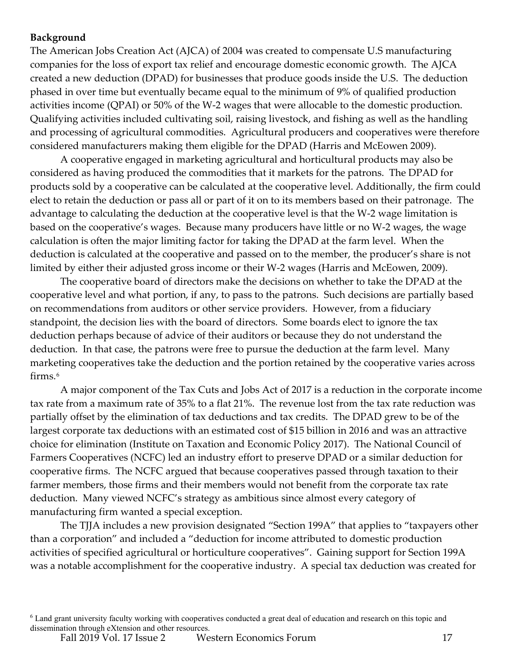### **Background**

The American Jobs Creation Act (AJCA) of 2004 was created to compensate U.S manufacturing companies for the loss of export tax relief and encourage domestic economic growth. The AJCA created a new deduction (DPAD) for businesses that produce goods inside the U.S. The deduction phased in over time but eventually became equal to the minimum of 9% of qualified production activities income (QPAI) or 50% of the W-2 wages that were allocable to the domestic production. Qualifying activities included cultivating soil, raising livestock, and fishing as well as the handling and processing of agricultural commodities. Agricultural producers and cooperatives were therefore considered manufacturers making them eligible for the DPAD (Harris and McEowen 2009).

A cooperative engaged in marketing agricultural and horticultural products may also be considered as having produced the commodities that it markets for the patrons. The DPAD for products sold by a cooperative can be calculated at the cooperative level. Additionally, the firm could elect to retain the deduction or pass all or part of it on to its members based on their patronage. The advantage to calculating the deduction at the cooperative level is that the W-2 wage limitation is based on the cooperative's wages. Because many producers have little or no W-2 wages, the wage calculation is often the major limiting factor for taking the DPAD at the farm level. When the deduction is calculated at the cooperative and passed on to the member, the producer's share is not limited by either their adjusted gross income or their W-2 wages (Harris and McEowen, 2009).

The cooperative board of directors make the decisions on whether to take the DPAD at the cooperative level and what portion, if any, to pass to the patrons. Such decisions are partially based on recommendations from auditors or other service providers. However, from a fiduciary standpoint, the decision lies with the board of directors. Some boards elect to ignore the tax deduction perhaps because of advice of their auditors or because they do not understand the deduction. In that case, the patrons were free to pursue the deduction at the farm level. Many marketing cooperatives take the deduction and the portion retained by the cooperative varies across firms.<sup>[6](#page-1-0)</sup>

A major component of the Tax Cuts and Jobs Act of 2017 is a reduction in the corporate income tax rate from a maximum rate of 35% to a flat 21%. The revenue lost from the tax rate reduction was partially offset by the elimination of tax deductions and tax credits. The DPAD grew to be of the largest corporate tax deductions with an estimated cost of \$15 billion in 2016 and was an attractive choice for elimination (Institute on Taxation and Economic Policy 2017). The National Council of Farmers Cooperatives (NCFC) led an industry effort to preserve DPAD or a similar deduction for cooperative firms. The NCFC argued that because cooperatives passed through taxation to their farmer members, those firms and their members would not benefit from the corporate tax rate deduction. Many viewed NCFC's strategy as ambitious since almost every category of manufacturing firm wanted a special exception.

<span id="page-1-0"></span>The TJJA includes a new provision designated "Section 199A" that applies to "taxpayers other than a corporation" and included a "deduction for income attributed to domestic production activities of specified agricultural or horticulture cooperatives". Gaining support for Section 199A was a notable accomplishment for the cooperative industry. A special tax deduction was created for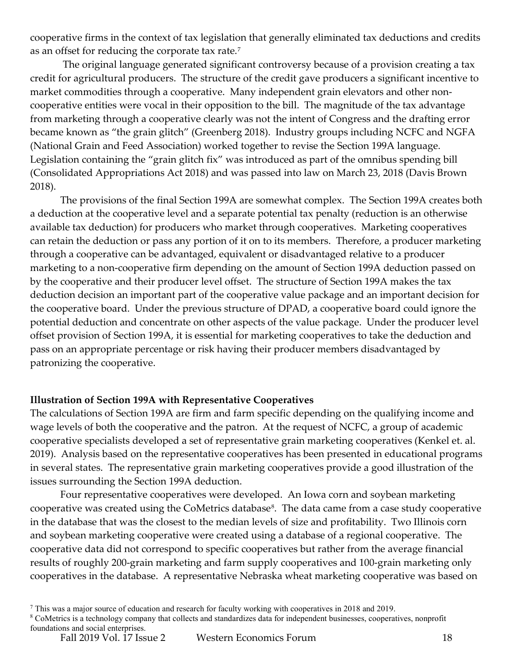cooperative firms in the context of tax legislation that generally eliminated tax deductions and credits as an offset for reducing the corporate tax rate.[7](#page-2-0)

The original language generated significant controversy because of a provision creating a tax credit for agricultural producers. The structure of the credit gave producers a significant incentive to market commodities through a cooperative. Many independent grain elevators and other noncooperative entities were vocal in their opposition to the bill. The magnitude of the tax advantage from marketing through a cooperative clearly was not the intent of Congress and the drafting error became known as "the grain glitch" (Greenberg 2018). Industry groups including NCFC and NGFA (National Grain and Feed Association) worked together to revise the Section 199A language. Legislation containing the "grain glitch fix" was introduced as part of the omnibus spending bill (Consolidated Appropriations Act 2018) and was passed into law on March 23, 2018 (Davis Brown 2018).

The provisions of the final Section 199A are somewhat complex. The Section 199A creates both a deduction at the cooperative level and a separate potential tax penalty (reduction is an otherwise available tax deduction) for producers who market through cooperatives. Marketing cooperatives can retain the deduction or pass any portion of it on to its members. Therefore, a producer marketing through a cooperative can be advantaged, equivalent or disadvantaged relative to a producer marketing to a non-cooperative firm depending on the amount of Section 199A deduction passed on by the cooperative and their producer level offset. The structure of Section 199A makes the tax deduction decision an important part of the cooperative value package and an important decision for the cooperative board. Under the previous structure of DPAD, a cooperative board could ignore the potential deduction and concentrate on other aspects of the value package. Under the producer level offset provision of Section 199A, it is essential for marketing cooperatives to take the deduction and pass on an appropriate percentage or risk having their producer members disadvantaged by patronizing the cooperative.

### **Illustration of Section 199A with Representative Cooperatives**

The calculations of Section 199A are firm and farm specific depending on the qualifying income and wage levels of both the cooperative and the patron. At the request of NCFC, a group of academic cooperative specialists developed a set of representative grain marketing cooperatives (Kenkel et. al. 2019). Analysis based on the representative cooperatives has been presented in educational programs in several states. The representative grain marketing cooperatives provide a good illustration of the issues surrounding the Section 199A deduction.

Four representative cooperatives were developed. An Iowa corn and soybean marketing cooperative was created using the CoMetrics database<sup>[8](#page-2-1)</sup>. The data came from a case study cooperative in the database that was the closest to the median levels of size and profitability. Two Illinois corn and soybean marketing cooperative were created using a database of a regional cooperative. The cooperative data did not correspond to specific cooperatives but rather from the average financial results of roughly 200-grain marketing and farm supply cooperatives and 100-grain marketing only cooperatives in the database. A representative Nebraska wheat marketing cooperative was based on

<span id="page-2-1"></span><sup>8</sup> CoMetrics is a technology company that collects and standardizes data for independent businesses, cooperatives, nonprofit foundations and social enterprises.

<span id="page-2-0"></span><sup>7</sup> This was a major source of education and research for faculty working with cooperatives in 2018 and 2019.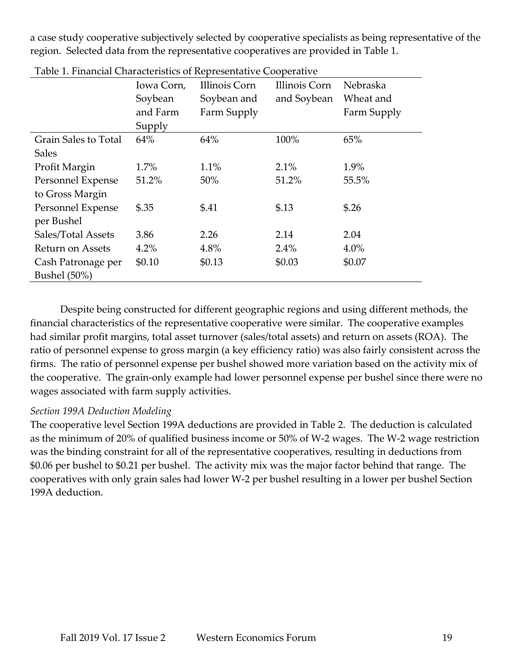a case study cooperative subjectively selected by cooperative specialists as being representative of the region. Selected data from the representative cooperatives are provided in Table 1.

| radio 1. 1 mancial Characteristics of Representative Cooperative | Iowa Corn, | Illinois Corn | Illinois Corn | Nebraska    |
|------------------------------------------------------------------|------------|---------------|---------------|-------------|
|                                                                  | Soybean    | Soybean and   | and Soybean   | Wheat and   |
|                                                                  | and Farm   | Farm Supply   |               | Farm Supply |
|                                                                  | Supply     |               |               |             |
| Grain Sales to Total                                             | 64%        | 64%           | 100%          | 65%         |
| <b>Sales</b>                                                     |            |               |               |             |
| Profit Margin                                                    | 1.7%       | 1.1%          | 2.1%          | 1.9%        |
| Personnel Expense                                                | 51.2%      | 50%           | 51.2%         | 55.5%       |
| to Gross Margin                                                  |            |               |               |             |
| Personnel Expense                                                | \$.35      | \$.41         | \$.13         | \$.26       |
| per Bushel                                                       |            |               |               |             |
| Sales/Total Assets                                               | 3.86       | 2.26          | 2.14          | 2.04        |
| Return on Assets                                                 | 4.2%       | 4.8%          | 2.4%          | 4.0%        |
| Cash Patronage per                                               | \$0.10     | \$0.13        | \$0.03        | \$0.07      |
| Bushel (50%)                                                     |            |               |               |             |

Table 1. Financial Characteristics of Representative Cooperative

Despite being constructed for different geographic regions and using different methods, the financial characteristics of the representative cooperative were similar. The cooperative examples had similar profit margins, total asset turnover (sales/total assets) and return on assets (ROA). The ratio of personnel expense to gross margin (a key efficiency ratio) was also fairly consistent across the firms. The ratio of personnel expense per bushel showed more variation based on the activity mix of the cooperative. The grain-only example had lower personnel expense per bushel since there were no wages associated with farm supply activities.

### *Section 199A Deduction Modeling*

The cooperative level Section 199A deductions are provided in Table 2. The deduction is calculated as the minimum of 20% of qualified business income or 50% of W-2 wages. The W-2 wage restriction was the binding constraint for all of the representative cooperatives, resulting in deductions from \$0.06 per bushel to \$0.21 per bushel. The activity mix was the major factor behind that range. The cooperatives with only grain sales had lower W-2 per bushel resulting in a lower per bushel Section 199A deduction.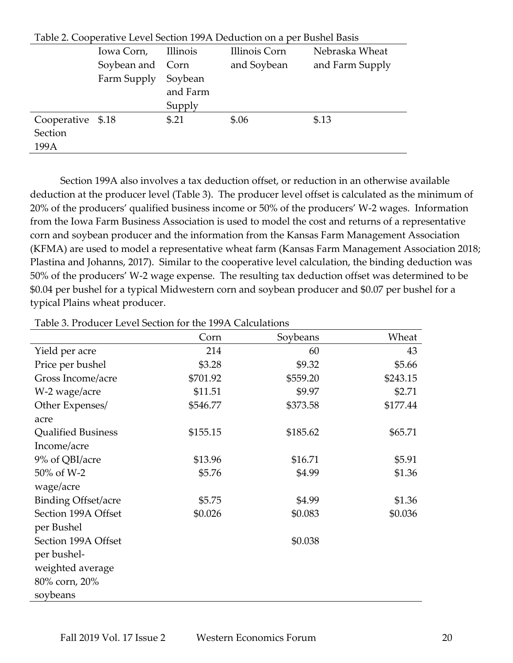| Table 2. Cooperative Level Section 199A Deduction on a per Bushel Basis |                  |          |               |                 |
|-------------------------------------------------------------------------|------------------|----------|---------------|-----------------|
|                                                                         | Iowa Corn,       | Illinois | Illinois Corn | Nebraska Wheat  |
|                                                                         | Soybean and Corn |          | and Soybean   | and Farm Supply |
|                                                                         | Farm Supply      | Soybean  |               |                 |
|                                                                         |                  | and Farm |               |                 |
|                                                                         |                  | Supply   |               |                 |
| Cooperative \$.18                                                       |                  | \$.21    | \$.06         | \$.13           |
| Section                                                                 |                  |          |               |                 |
| 199A                                                                    |                  |          |               |                 |

Table 2. Cooperative Level Section 199A Deduction on a per Bushel Basis

Section 199A also involves a tax deduction offset, or reduction in an otherwise available deduction at the producer level (Table 3). The producer level offset is calculated as the minimum of 20% of the producers' qualified business income or 50% of the producers' W-2 wages. Information from the Iowa Farm Business Association is used to model the cost and returns of a representative corn and soybean producer and the information from the Kansas Farm Management Association (KFMA) are used to model a representative wheat farm (Kansas Farm Management Association 2018; Plastina and Johanns, 2017). Similar to the cooperative level calculation, the binding deduction was 50% of the producers' W-2 wage expense. The resulting tax deduction offset was determined to be \$0.04 per bushel for a typical Midwestern corn and soybean producer and \$0.07 per bushel for a typical Plains wheat producer.

|                            | Corn     | Soybeans | Wheat    |
|----------------------------|----------|----------|----------|
| Yield per acre             | 214      | 60       | 43       |
| Price per bushel           | \$3.28   | \$9.32   | \$5.66   |
| Gross Income/acre          | \$701.92 | \$559.20 | \$243.15 |
| W-2 wage/acre              | \$11.51  | \$9.97   | \$2.71   |
| Other Expenses/            | \$546.77 | \$373.58 | \$177.44 |
| acre                       |          |          |          |
| <b>Qualified Business</b>  | \$155.15 | \$185.62 | \$65.71  |
| Income/acre                |          |          |          |
| 9% of QBI/acre             | \$13.96  | \$16.71  | \$5.91   |
| 50% of W-2                 | \$5.76   | \$4.99   | \$1.36   |
| wage/acre                  |          |          |          |
| <b>Binding Offset/acre</b> | \$5.75   | \$4.99   | \$1.36   |
| Section 199A Offset        | \$0.026  | \$0.083  | \$0.036  |
| per Bushel                 |          |          |          |
| Section 199A Offset        |          | \$0.038  |          |
| per bushel-                |          |          |          |
| weighted average           |          |          |          |
| 80% corn, 20%              |          |          |          |
| soybeans                   |          |          |          |

Table 3. Producer Level Section for the 199A Calculations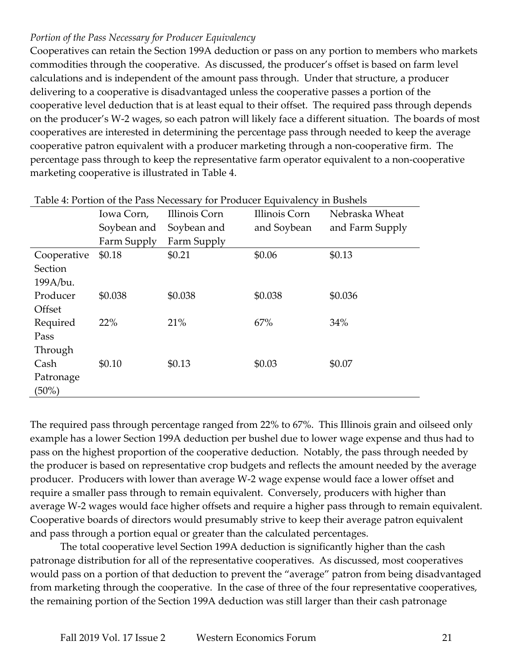## *Portion of the Pass Necessary for Producer Equivalency*

Cooperatives can retain the Section 199A deduction or pass on any portion to members who markets commodities through the cooperative. As discussed, the producer's offset is based on farm level calculations and is independent of the amount pass through. Under that structure, a producer delivering to a cooperative is disadvantaged unless the cooperative passes a portion of the cooperative level deduction that is at least equal to their offset. The required pass through depends on the producer's W-2 wages, so each patron will likely face a different situation. The boards of most cooperatives are interested in determining the percentage pass through needed to keep the average cooperative patron equivalent with a producer marketing through a non-cooperative firm. The percentage pass through to keep the representative farm operator equivalent to a non-cooperative marketing cooperative is illustrated in Table 4.

| Lavie 4. Fortion of the Fass Necessary for Frouncer Equivalency in Dustiers |             |               |               |                 |
|-----------------------------------------------------------------------------|-------------|---------------|---------------|-----------------|
|                                                                             | Iowa Corn,  | Illinois Corn | Illinois Corn | Nebraska Wheat  |
|                                                                             | Soybean and | Soybean and   | and Soybean   | and Farm Supply |
|                                                                             | Farm Supply | Farm Supply   |               |                 |
| Cooperative                                                                 | \$0.18      | \$0.21        | \$0.06        | \$0.13          |
| Section                                                                     |             |               |               |                 |
| 199A/bu.                                                                    |             |               |               |                 |
| Producer                                                                    | \$0.038     | \$0.038       | \$0.038       | \$0.036         |
| Offset                                                                      |             |               |               |                 |
| Required                                                                    | 22%         | 21%           | 67%           | 34%             |
| Pass                                                                        |             |               |               |                 |
| Through                                                                     |             |               |               |                 |
| Cash                                                                        | \$0.10      | \$0.13        | \$0.03        | \$0.07          |
| Patronage                                                                   |             |               |               |                 |
| $(50\%)$                                                                    |             |               |               |                 |
|                                                                             |             |               |               |                 |

Table 4: Portion of the Pass Necessary for Producer Equivalency in Bushels

The required pass through percentage ranged from 22% to 67%. This Illinois grain and oilseed only example has a lower Section 199A deduction per bushel due to lower wage expense and thus had to pass on the highest proportion of the cooperative deduction. Notably, the pass through needed by the producer is based on representative crop budgets and reflects the amount needed by the average producer. Producers with lower than average W-2 wage expense would face a lower offset and require a smaller pass through to remain equivalent. Conversely, producers with higher than average W-2 wages would face higher offsets and require a higher pass through to remain equivalent. Cooperative boards of directors would presumably strive to keep their average patron equivalent and pass through a portion equal or greater than the calculated percentages.

The total cooperative level Section 199A deduction is significantly higher than the cash patronage distribution for all of the representative cooperatives. As discussed, most cooperatives would pass on a portion of that deduction to prevent the "average" patron from being disadvantaged from marketing through the cooperative. In the case of three of the four representative cooperatives, the remaining portion of the Section 199A deduction was still larger than their cash patronage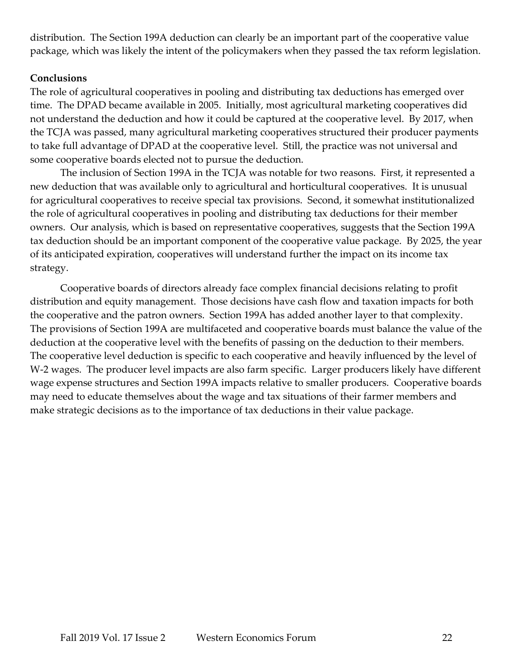distribution. The Section 199A deduction can clearly be an important part of the cooperative value package, which was likely the intent of the policymakers when they passed the tax reform legislation.

#### **Conclusions**

The role of agricultural cooperatives in pooling and distributing tax deductions has emerged over time. The DPAD became available in 2005. Initially, most agricultural marketing cooperatives did not understand the deduction and how it could be captured at the cooperative level. By 2017, when the TCJA was passed, many agricultural marketing cooperatives structured their producer payments to take full advantage of DPAD at the cooperative level. Still, the practice was not universal and some cooperative boards elected not to pursue the deduction.

The inclusion of Section 199A in the TCJA was notable for two reasons. First, it represented a new deduction that was available only to agricultural and horticultural cooperatives. It is unusual for agricultural cooperatives to receive special tax provisions. Second, it somewhat institutionalized the role of agricultural cooperatives in pooling and distributing tax deductions for their member owners. Our analysis, which is based on representative cooperatives, suggests that the Section 199A tax deduction should be an important component of the cooperative value package. By 2025, the year of its anticipated expiration, cooperatives will understand further the impact on its income tax strategy.

Cooperative boards of directors already face complex financial decisions relating to profit distribution and equity management. Those decisions have cash flow and taxation impacts for both the cooperative and the patron owners. Section 199A has added another layer to that complexity. The provisions of Section 199A are multifaceted and cooperative boards must balance the value of the deduction at the cooperative level with the benefits of passing on the deduction to their members. The cooperative level deduction is specific to each cooperative and heavily influenced by the level of W-2 wages. The producer level impacts are also farm specific. Larger producers likely have different wage expense structures and Section 199A impacts relative to smaller producers. Cooperative boards may need to educate themselves about the wage and tax situations of their farmer members and make strategic decisions as to the importance of tax deductions in their value package.